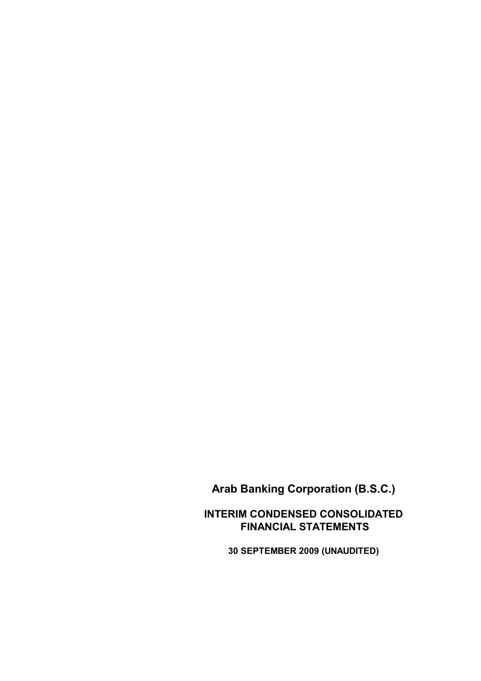**INTERIM CONDENSED CONSOLIDATED FINANCIAL STATEMENTS**

**30 SEPTEMBER 2009 (UNAUDITED)**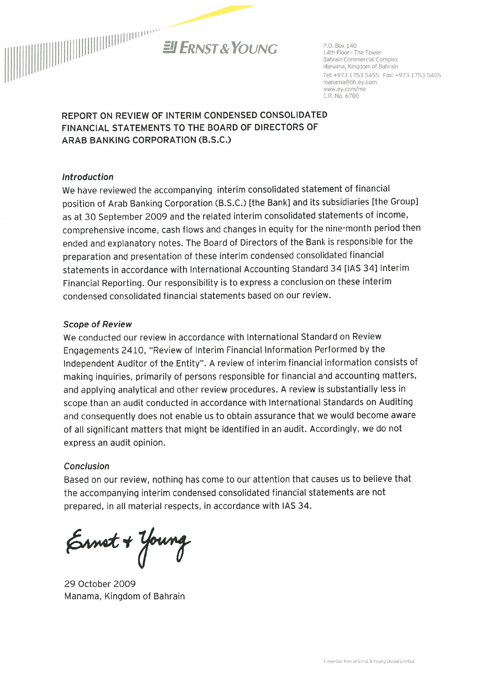

P O Box 140 14th Floor - The Tower **Bahrain Commercial Complex** Manama, Kingdom of Bahrain Tel: +973 1753 5455 Fax: +973 1753 5405 manama@bh.ey.com www.ey.com/me C.R. No. 6700

REPORT ON REVIEW OF INTERIM CONDENSED CONSOLIDATED FINANCIAL STATEMENTS TO THE BOARD OF DIRECTORS OF ARAB BANKING CORPORATION (B.S.C.)

#### **Introduction**

We have reviewed the accompanying interim consolidated statement of financial position of Arab Banking Corporation (B.S.C.) [the Bank] and its subsidiaries [the Group] as at 30 September 2009 and the related interim consolidated statements of income, comprehensive income, cash flows and changes in equity for the nine-month period then ended and explanatory notes. The Board of Directors of the Bank is responsible for the preparation and presentation of these interim condensed consolidated financial statements in accordance with International Accounting Standard 34 [IAS 34] Interim Financial Reporting. Our responsibility is to express a conclusion on these interim condensed consolidated financial statements based on our review.

#### **Scope of Review**

We conducted our review in accordance with International Standard on Review Engagements 2410, "Review of Interim Financial Information Performed by the Independent Auditor of the Entity". A review of interim financial information consists of making inquiries, primarily of persons responsible for financial and accounting matters, and applying analytical and other review procedures. A review is substantially less in scope than an audit conducted in accordance with International Standards on Auditing and consequently does not enable us to obtain assurance that we would become aware of all significant matters that might be identified in an audit. Accordingly, we do not express an audit opinion.

#### Conclusion

Based on our review, nothing has come to our attention that causes us to believe that the accompanying interim condensed consolidated financial statements are not prepared, in all material respects, in accordance with IAS 34.

Ernet + Young

29 October 2009 Manama, Kingdom of Bahrain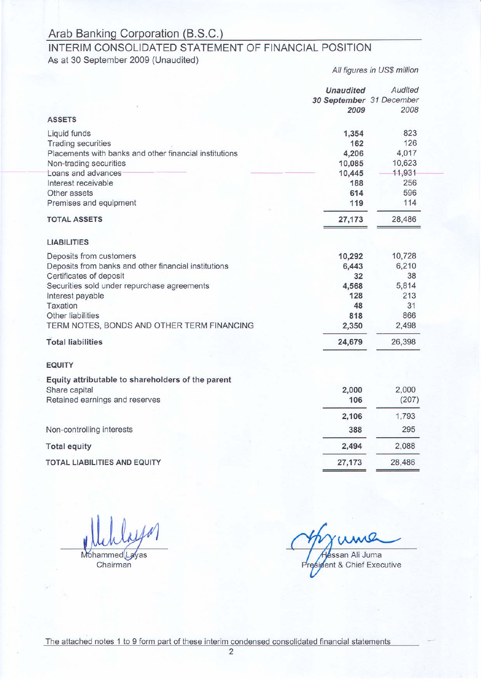# INTERIM CONSOLIDATED STATEMENT OF FINANCIAL POSITION

As at 30 September 2009 (Unaudited)

Audited **Unaudited** 30 September 31 December 2009 2008 **ASSETS** Liquid funds 1,354 823 **Trading securities** 162 126 Placements with banks and other financial institutions 4,206 4,017 10,623 Non-trading securities 10,085 Loans and advances 10,445 11,931 256 Interest receivable 188 Other assets 614 596 Premises and equipment 119 114 **TOTAL ASSETS** 28,486 27,173 **LIABILITIES** Deposits from customers 10,292 10,728 Deposits from banks and other financial institutions 6,210 6,443 Certificates of deposit 38 32 Securities sold under repurchase agreements 5,814 4,568 Interest payable 128 213 Taxation 48 31 Other liabilities 818 866 TERM NOTES, BONDS AND OTHER TERM FINANCING 2,498 2,350 24,679 26,398 **Total liabilities EQUITY** Equity attributable to shareholders of the parent 2,000 Share capital 2,000 Retained earnings and reserves 106  $(207)$ 2,106 1,793 Non-controlling interests 388 295 **Total equity** 2,494 2,088 **TOTAL LIABILITIES AND EQUITY** 27,173 28,486

Mohammed Layas

Chairman

ssan Ali Juma dent & Chief Executive

All figures in US\$ million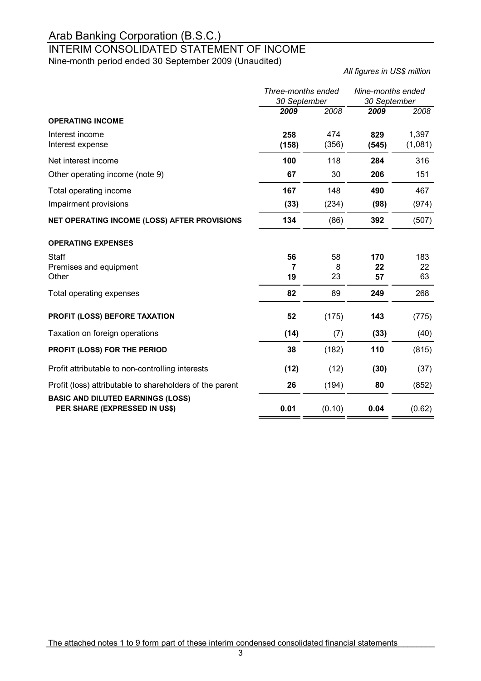## INTERIM CONSOLIDATED STATEMENT OF INCOME

Nine-month period ended 30 September 2009 (Unaudited)

*All figures in US\$ million*

|                                                                           | Three-months ended<br>30 September |               | Nine-months ended<br>30 September |                  |
|---------------------------------------------------------------------------|------------------------------------|---------------|-----------------------------------|------------------|
| <b>OPERATING INCOME</b>                                                   | 2009                               | 2008          | 2009                              | 2008             |
| Interest income<br>Interest expense                                       | 258<br>(158)                       | 474<br>(356)  | 829<br>(545)                      | 1,397<br>(1,081) |
| Net interest income                                                       | 100                                | 118           | 284                               | 316              |
| Other operating income (note 9)                                           | 67                                 | 30            | 206                               | 151              |
| Total operating income                                                    | 167                                | 148           | 490                               | 467              |
| Impairment provisions                                                     | (33)                               | (234)         | (98)                              | (974)            |
| NET OPERATING INCOME (LOSS) AFTER PROVISIONS                              | 134                                | (86)          | 392                               | (507)            |
| <b>OPERATING EXPENSES</b>                                                 |                                    |               |                                   |                  |
| Staff<br>Premises and equipment<br>Other                                  | 56<br>7<br>19                      | 58<br>8<br>23 | 170<br>22<br>57                   | 183<br>22<br>63  |
| Total operating expenses                                                  | 82                                 | 89            | 249                               | 268              |
| PROFIT (LOSS) BEFORE TAXATION                                             | 52                                 | (175)         | 143                               | (775)            |
| Taxation on foreign operations                                            | (14)                               | (7)           | (33)                              | (40)             |
| PROFIT (LOSS) FOR THE PERIOD                                              | 38                                 | (182)         | 110                               | (815)            |
| Profit attributable to non-controlling interests                          | (12)                               | (12)          | (30)                              | (37)             |
| Profit (loss) attributable to shareholders of the parent                  | 26                                 | (194)         | 80                                | (852)            |
| <b>BASIC AND DILUTED EARNINGS (LOSS)</b><br>PER SHARE (EXPRESSED IN US\$) | 0.01                               | (0.10)        | 0.04                              | (0.62)           |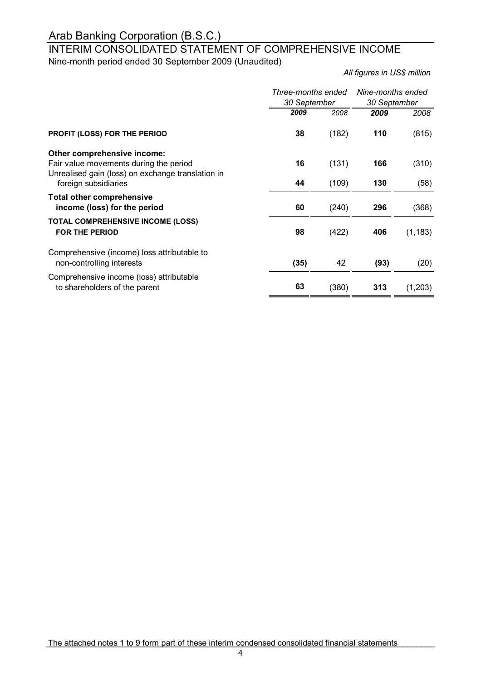### INTERIM CONSOLIDATED STATEMENT OF COMPREHENSIVE INCOME Nine-month period ended 30 September 2009 (Unaudited)

*All figures in US\$ million*

|                                                                                                                            | Three-months ended<br>30 September |       | Nine-months ended<br>30 September |          |
|----------------------------------------------------------------------------------------------------------------------------|------------------------------------|-------|-----------------------------------|----------|
|                                                                                                                            | 2009                               | 2008  | 2009                              | 2008     |
| PROFIT (LOSS) FOR THE PERIOD                                                                                               | 38                                 | (182) | 110                               | (815)    |
| Other comprehensive income:<br>Fair value movements during the period<br>Unrealised gain (loss) on exchange translation in | 16                                 | (131) | 166                               | (310)    |
| foreign subsidiaries                                                                                                       | 44                                 | (109) | 130                               | (58)     |
| <b>Total other comprehensive</b><br>income (loss) for the period                                                           | 60                                 | (240) | 296                               | (368)    |
| <b>TOTAL COMPREHENSIVE INCOME (LOSS)</b><br><b>FOR THE PERIOD</b>                                                          | 98                                 | (422) | 406                               | (1, 183) |
| Comprehensive (income) loss attributable to<br>non-controlling interests                                                   | (35)                               | 42    | (93)                              | (20)     |
| Comprehensive income (loss) attributable<br>to shareholders of the parent                                                  | 63                                 | (380) | 313                               | (1,203)  |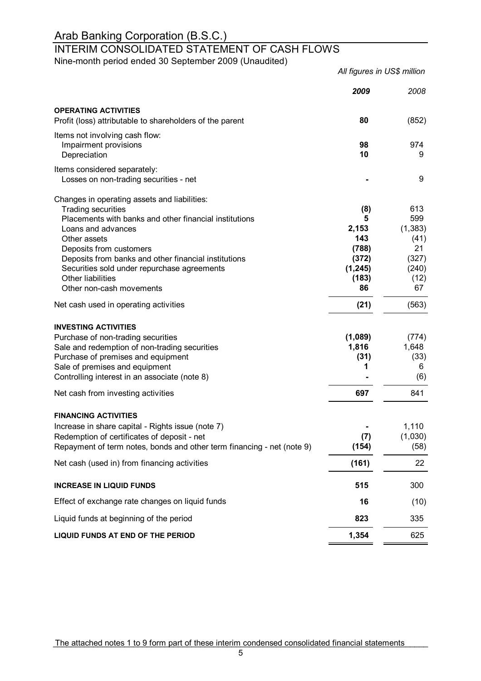### INTERIM CONSOLIDATED STATEMENT OF CASH FLOWS

Nine-month period ended 30 September 2009 (Unaudited)

*2009 2008* **OPERATING ACTIVITIES** Profit (loss) attributable to shareholders of the parent **80** (852) Items not involving cash flow: Impairment provisions **98** 974 Depreciation **10** 9 Items considered separately: Losses on non-trading securities - net **All and Securities - net**  $\sim$  9 Changes in operating assets and liabilities: Trading securities **(8)** 613 Placements with banks and other financial institutions **5** 599 Loans and advances **2,153** (1,383) Other assets (41) Deposits from customers **(788)** 21 Deposits from banks and other financial institutions **(372)** (327) Securities sold under repurchase agreements **(1,245)** (240) Other liabilities (183) (12) Other non-cash movements **86** 67 Net cash used in operating activities (21) (563) **INVESTING ACTIVITIES** Purchase of non-trading securities **(1,089)** (774) Sale and redemption of non-trading securities **1,816** 1,816 1,648 Purchase of premises and equipment (31) (33)<br>
Sale of premises and equipment (32) (33) (33) Sale of premises and equipment Controlling interest in an associate (note 8) **-** (6) Net cash from investing activities **697 697 841 FINANCING ACTIVITIES** Increase in share capital - Rights issue (note 7) **-** 1,110 Redemption of certificates of deposit - net (7) (1,030) Repayment of term notes, bonds and other term financing - net (note 9) **(154)** (58) Net cash (used in) from financing activities **(161)** 22 **INCREASE IN LIQUID FUNDS 515** 300 Effect of exchange rate changes on liquid funds **16** (10) Liquid funds at beginning of the period **823** 335 **LIQUID FUNDS AT END OF THE PERIOD 1,354** 625 *All figures in US\$ million*

The attached notes 1 to 9 form part of these interim condensed consolidated financial statements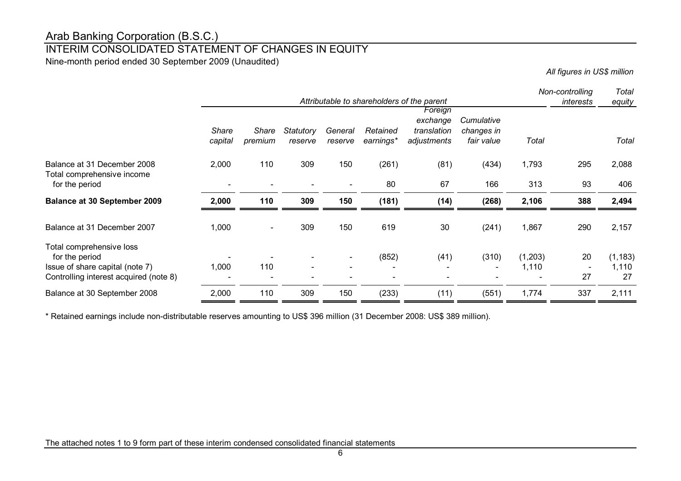### INTERIM CONSOLIDATED STATEMENT OF CHANGES IN EQUITY

Nine-month period ended 30 September 2009 (Unaudited)

*All figures in US\$ million*

|                                                                                                                         | Attributable to shareholders of the parent |                  |                             |                          |                                   |                                                   | Non-controlling<br>interests           |                  |                                      |                         |
|-------------------------------------------------------------------------------------------------------------------------|--------------------------------------------|------------------|-----------------------------|--------------------------|-----------------------------------|---------------------------------------------------|----------------------------------------|------------------|--------------------------------------|-------------------------|
|                                                                                                                         | <b>Share</b><br>capital                    | Share<br>premium | <b>Statutory</b><br>reserve | General<br>reserve       | Retained<br>earnings*             | Foreign<br>exchange<br>translation<br>adjustments | Cumulative<br>changes in<br>fair value | Total            |                                      | equity<br>Total         |
| Balance at 31 December 2008<br>Total comprehensive income<br>for the period                                             | 2,000                                      | 110              | 309                         | 150                      | (261)<br>80                       | (81)<br>67                                        | (434)<br>166                           | 1,793<br>313     | 295<br>93                            | 2,088<br>406            |
| <b>Balance at 30 September 2009</b>                                                                                     | 2,000                                      | 110              | 309                         | 150                      | (181)                             | (14)                                              | (268)                                  | 2,106            | 388                                  | 2,494                   |
| Balance at 31 December 2007                                                                                             | 1,000                                      |                  | 309                         | 150                      | 619                               | 30                                                | (241)                                  | 1,867            | 290                                  | 2,157                   |
| Total comprehensive loss<br>for the period<br>Issue of share capital (note 7)<br>Controlling interest acquired (note 8) | 1,000                                      | 110              |                             | $\overline{\phantom{a}}$ | (852)<br>$\overline{\phantom{a}}$ | (41)                                              | (310)<br>$\overline{\phantom{a}}$      | (1,203)<br>1,110 | 20<br>$\overline{\phantom{a}}$<br>27 | (1, 183)<br>1,110<br>27 |
| Balance at 30 September 2008                                                                                            | 2,000                                      | 110              | 309                         | 150                      | (233)                             | (11)                                              | (551)                                  | 1,774            | 337                                  | 2,111                   |

\* Retained earnings include non-distributable reserves amounting to US\$ 396 million (31 December 2008: US\$ 389 million).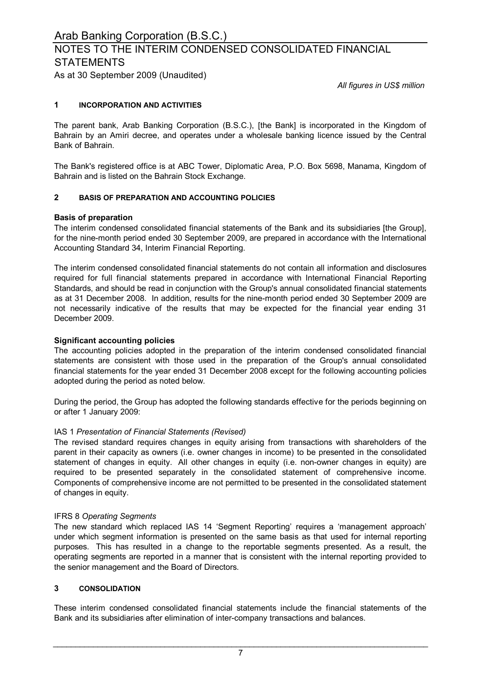## NOTES TO THE INTERIM CONDENSED CONSOLIDATED FINANCIAL **STATEMENTS**

As at 30 September 2009 (Unaudited)

*All figures in US\$ million*

#### **1 INCORPORATION AND ACTIVITIES**

The parent bank, Arab Banking Corporation (B.S.C.), [the Bank] is incorporated in the Kingdom of Bahrain by an Amiri decree, and operates under a wholesale banking licence issued by the Central Bank of Bahrain.

The Bank's registered office is at ABC Tower, Diplomatic Area, P.O. Box 5698, Manama, Kingdom of Bahrain and is listed on the Bahrain Stock Exchange.

#### **2 BASIS OF PREPARATION AND ACCOUNTING POLICIES**

#### **Basis of preparation**

The interim condensed consolidated financial statements of the Bank and its subsidiaries [the Group], for the nine-month period ended 30 September 2009, are prepared in accordance with the International Accounting Standard 34, Interim Financial Reporting.

The interim condensed consolidated financial statements do not contain all information and disclosures required for full financial statements prepared in accordance with International Financial Reporting Standards, and should be read in conjunction with the Group's annual consolidated financial statements as at 31 December 2008. In addition, results for the nine-month period ended 30 September 2009 are not necessarily indicative of the results that may be expected for the financial year ending 31 December 2009.

#### **Significant accounting policies**

The accounting policies adopted in the preparation of the interim condensed consolidated financial statements are consistent with those used in the preparation of the Group's annual consolidated financial statements for the year ended 31 December 2008 except for the following accounting policies adopted during the period as noted below.

During the period, the Group has adopted the following standards effective for the periods beginning on or after 1 January 2009:

#### IAS 1 *Presentation of Financial Statements (Revised)*

The revised standard requires changes in equity arising from transactions with shareholders of the parent in their capacity as owners (i.e. owner changes in income) to be presented in the consolidated statement of changes in equity. All other changes in equity (i.e. non-owner changes in equity) are required to be presented separately in the consolidated statement of comprehensive income. Components of comprehensive income are not permitted to be presented in the consolidated statement of changes in equity.

#### IFRS 8 *Operating Segments*

The new standard which replaced IAS 14 'Segment Reporting' requires a 'management approach' under which segment information is presented on the same basis as that used for internal reporting purposes. This has resulted in a change to the reportable segments presented. As a result, the operating segments are reported in a manner that is consistent with the internal reporting provided to the senior management and the Board of Directors.

#### **3 CONSOLIDATION**

These interim condensed consolidated financial statements include the financial statements of the Bank and its subsidiaries after elimination of inter-company transactions and balances.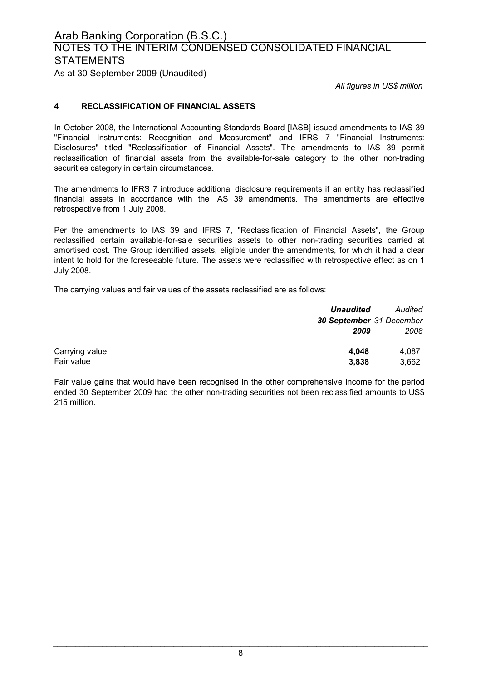### Arab Banking Corporation (B.S.C.) As at 30 September 2009 (Unaudited) NOTES TO THE INTERIM CONDENSED CONSOLIDATED FINANCIAL **STATEMENTS**

*All figures in US\$ million*

#### **4 RECLASSIFICATION OF FINANCIAL ASSETS**

In October 2008, the International Accounting Standards Board [IASB] issued amendments to IAS 39 "Financial Instruments: Recognition and Measurement" and IFRS 7 "Financial Instruments: Disclosures" titled "Reclassification of Financial Assets". The amendments to IAS 39 permit reclassification of financial assets from the available-for-sale category to the other non-trading securities category in certain circumstances.

The amendments to IFRS 7 introduce additional disclosure requirements if an entity has reclassified financial assets in accordance with the IAS 39 amendments. The amendments are effective retrospective from 1 July 2008.

Per the amendments to IAS 39 and IFRS 7, "Reclassification of Financial Assets", the Group reclassified certain available-for-sale securities assets to other non-trading securities carried at amortised cost. The Group identified assets, eligible under the amendments, for which it had a clear intent to hold for the foreseeable future. The assets were reclassified with retrospective effect as on 1 July 2008.

The carrying values and fair values of the assets reclassified are as follows:

|                | <b>Unaudited</b>         | Audited |
|----------------|--------------------------|---------|
|                | 30 September 31 December |         |
|                | 2009                     | 2008    |
| Carrying value | 4.048                    | 4.087   |
| Fair value     | 3,838                    | 3,662   |

Fair value gains that would have been recognised in the other comprehensive income for the period ended 30 September 2009 had the other non-trading securities not been reclassified amounts to US\$ 215 million.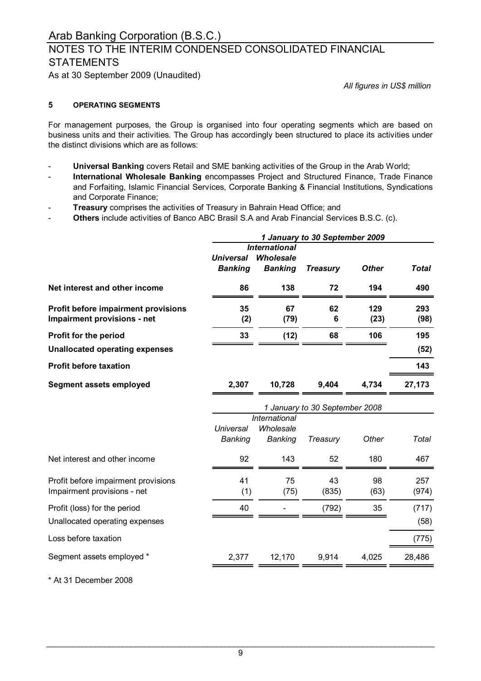### NOTES TO THE INTERIM CONDENSED CONSOLIDATED FINANCIAL **STATEMENTS**

As at 30 September 2009 (Unaudited)

*All figures in US\$ million*

#### **5 OPERATING SEGMENTS**

For management purposes, the Group is organised into four operating segments which are based on business units and their activities. The Group has accordingly been structured to place its activities under the distinct divisions which are as follows:

- **Universal Banking** covers Retail and SME banking activities of the Group in the Arab World;
- **International Wholesale Banking** encompasses Project and Structured Finance, Trade Finance and Forfaiting, Islamic Financial Services, Corporate Banking & Financial Institutions, Syndications and Corporate Finance;
- **Treasury** comprises the activities of Treasury in Bahrain Head Office; and
- **Others** include activities of Banco ABC Brasil S.A and Arab Financial Services B.S.C. (c).

|                                       | 1 January to 30 September 2009 |                      |                                |              |              |  |
|---------------------------------------|--------------------------------|----------------------|--------------------------------|--------------|--------------|--|
|                                       | <b>International</b>           |                      |                                |              |              |  |
|                                       | <b>Universal</b>               | Wholesale            |                                |              |              |  |
|                                       | <b>Banking</b>                 | <b>Banking</b>       | <b>Treasury</b>                | <b>Other</b> | <b>Total</b> |  |
| Net interest and other income         | 86                             | 138                  | 72                             | 194          | 490          |  |
| Profit before impairment provisions   | 35                             | 67                   | 62                             | 129          | 293          |  |
| Impairment provisions - net           | (2)                            | (79)                 | 6                              | (23)         | (98)         |  |
| Profit for the period                 | 33                             | (12)                 | 68                             | 106          | 195          |  |
| <b>Unallocated operating expenses</b> |                                |                      |                                |              | (52)         |  |
| <b>Profit before taxation</b>         |                                |                      |                                |              | 143          |  |
| Segment assets employed               | 2,307                          | 10,728               | 9,404                          | 4,734        | 27,173       |  |
|                                       |                                |                      | 1 January to 30 September 2008 |              |              |  |
|                                       |                                | <b>International</b> |                                |              |              |  |
|                                       | Universal                      | Wholesale            |                                |              |              |  |
|                                       | <b>Banking</b>                 | <b>Banking</b>       | Treasury                       | Other        | Total        |  |
| Net interest and other income         | 92                             | 143                  | 52                             | 180          | 467          |  |
| Profit before impairment provisions   | 41                             | 75                   | 43                             | 98           | 257          |  |
| Impairment provisions - net           | (1)                            | (75)                 | (835)                          | (63)         | (974)        |  |
| Profit (loss) for the period          | 40                             |                      | (792)                          | 35           | (717)        |  |
| Unallocated operating expenses        |                                |                      |                                |              | (58)         |  |
| Loss before taxation                  |                                |                      |                                |              | (775)        |  |
| Segment assets employed *             | 2,377                          | 12,170               | 9,914                          | 4,025        | 28,486       |  |
|                                       |                                |                      |                                |              |              |  |

\* At 31 December 2008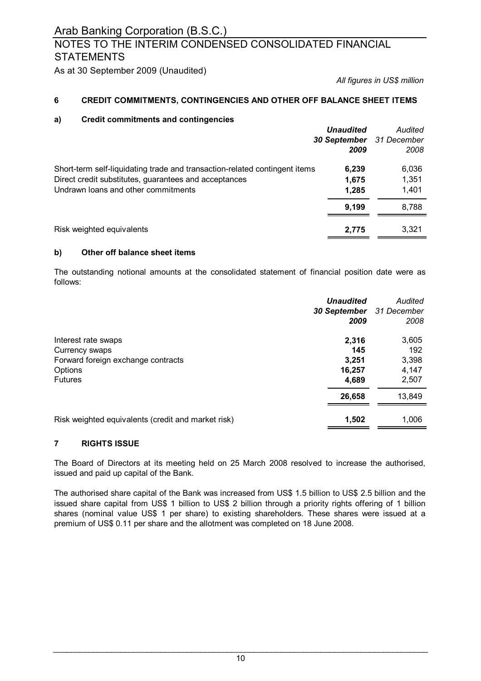### NOTES TO THE INTERIM CONDENSED CONSOLIDATED FINANCIAL **STATEMENTS**

As at 30 September 2009 (Unaudited)

*All figures in US\$ million*

#### **6 CREDIT COMMITMENTS, CONTINGENCIES AND OTHER OFF BALANCE SHEET ITEMS**

#### **a) Credit commitments and contingencies**

|                                                                                                                                                                            | <b>Unaudited</b><br>30 September<br>2009 | Audited<br>31 December<br>2008 |
|----------------------------------------------------------------------------------------------------------------------------------------------------------------------------|------------------------------------------|--------------------------------|
| Short-term self-liquidating trade and transaction-related contingent items<br>Direct credit substitutes, guarantees and acceptances<br>Undrawn loans and other commitments | 6,239<br>1,675<br>1,285                  | 6,036<br>1,351<br>1,401        |
|                                                                                                                                                                            | 9.199                                    | 8,788                          |
| Risk weighted equivalents                                                                                                                                                  | 2,775                                    | 3,321                          |

#### **b) Other off balance sheet items**

The outstanding notional amounts at the consolidated statement of financial position date were as follows:

|                                                    | <b>Unaudited</b><br>30 September<br>2009 | Audited<br>31 December<br>2008 |
|----------------------------------------------------|------------------------------------------|--------------------------------|
| Interest rate swaps                                | 2,316                                    | 3,605                          |
| Currency swaps                                     | 145                                      | 192                            |
| Forward foreign exchange contracts                 | 3,251                                    | 3,398                          |
| Options                                            | 16,257                                   | 4,147                          |
| <b>Futures</b>                                     | 4,689                                    | 2,507                          |
|                                                    | 26,658                                   | 13,849                         |
| Risk weighted equivalents (credit and market risk) | 1,502                                    | 1,006                          |

#### **7 RIGHTS ISSUE**

The Board of Directors at its meeting held on 25 March 2008 resolved to increase the authorised, issued and paid up capital of the Bank.

The authorised share capital of the Bank was increased from US\$ 1.5 billion to US\$ 2.5 billion and the issued share capital from US\$ 1 billion to US\$ 2 billion through a priority rights offering of 1 billion shares (nominal value US\$ 1 per share) to existing shareholders. These shares were issued at a premium of US\$ 0.11 per share and the allotment was completed on 18 June 2008.